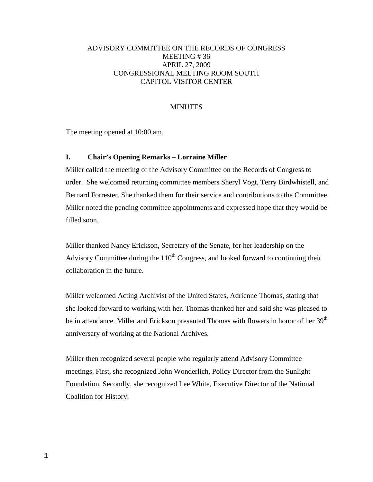# ADVISORY COMMITTEE ON THE RECORDS OF CONGRESS MEETING # 36 APRIL 27, 2009 CONGRESSIONAL MEETING ROOM SOUTH CAPITOL VISITOR CENTER

# **MINUTES**

The meeting opened at 10:00 am.

# **I. Chair's Opening Remarks – Lorraine Miller**

Miller called the meeting of the Advisory Committee on the Records of Congress to order. She welcomed returning committee members Sheryl Vogt, Terry Birdwhistell, and Bernard Forrester. She thanked them for their service and contributions to the Committee. Miller noted the pending committee appointments and expressed hope that they would be filled soon.

Miller thanked Nancy Erickson, Secretary of the Senate, for her leadership on the Advisory Committee during the  $110<sup>th</sup>$  Congress, and looked forward to continuing their collaboration in the future.

Miller welcomed Acting Archivist of the United States, Adrienne Thomas, stating that she looked forward to working with her. Thomas thanked her and said she was pleased to be in attendance. Miller and Erickson presented Thomas with flowers in honor of her 39<sup>th</sup> anniversary of working at the National Archives.

Miller then recognized several people who regularly attend Advisory Committee meetings. First, she recognized John Wonderlich, Policy Director from the Sunlight Foundation. Secondly, she recognized Lee White, Executive Director of the National Coalition for History.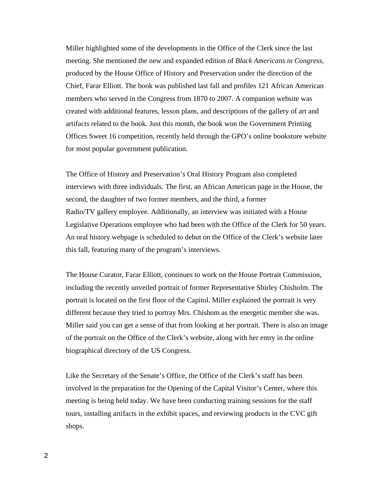Miller highlighted some of the developments in the Office of the Clerk since the last meeting. She mentioned the new and expanded edition of *Black Americans in Congress*, produced by the House Office of History and Preservation under the direction of the Chief, Farar Elliott. The book was published last fall and profiles 121 African American members who served in the Congress from 1870 to 2007. A companion website was created with additional features, lesson plans, and descriptions of the gallery of art and artifacts related to the book. Just this month, the book won the Government Printing Offices Sweet 16 competition, recently held through the GPO's online bookstore website for most popular government publication.

The Office of History and Preservation's Oral History Program also completed interviews with three individuals. The first, an African American page in the House, the second, the daughter of two former members, and the third, a former Radio/TV gallery employee. Additionally, an interview was initiated with a House Legislative Operations employee who had been with the Office of the Clerk for 50 years. An oral history webpage is scheduled to debut on the Office of the Clerk's website later this fall, featuring many of the program's interviews.

The House Curator, Farar Elliott, continues to work on the House Portrait Commission, including the recently unveiled portrait of former Representative Shirley Chisholm. The portrait is located on the first floor of the Capitol. Miller explained the portrait is very different because they tried to portray Mrs. Chishom as the energetic member she was. Miller said you can get a sense of that from looking at her portrait. There is also an image of the portrait on the Office of the Clerk's website, along with her entry in the online biographical directory of the US Congress.

Like the Secretary of the Senate's Office, the Office of the Clerk's staff has been involved in the preparation for the Opening of the Capital Visitor's Center, where this meeting is being held today. We have been conducting training sessions for the staff tours, installing artifacts in the exhibit spaces, and reviewing products in the CVC gift shops.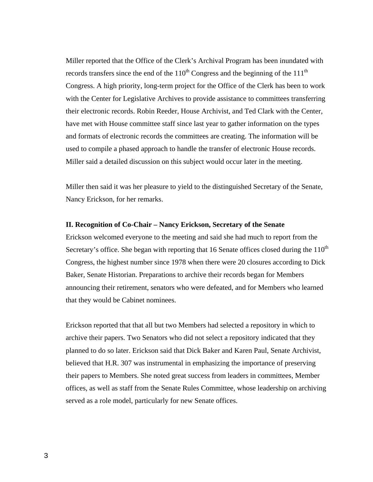Miller reported that the Office of the Clerk's Archival Program has been inundated with records transfers since the end of the  $110^{th}$  Congress and the beginning of the  $111^{th}$ Congress. A high priority, long-term project for the Office of the Clerk has been to work with the Center for Legislative Archives to provide assistance to committees transferring their electronic records. Robin Reeder, House Archivist, and Ted Clark with the Center, have met with House committee staff since last year to gather information on the types and formats of electronic records the committees are creating. The information will be used to compile a phased approach to handle the transfer of electronic House records. Miller said a detailed discussion on this subject would occur later in the meeting.

Miller then said it was her pleasure to yield to the distinguished Secretary of the Senate, Nancy Erickson, for her remarks.

### **II. Recognition of Co-Chair – Nancy Erickson, Secretary of the Senate**

Erickson welcomed everyone to the meeting and said she had much to report from the Secretary's office. She began with reporting that 16 Senate offices closed during the  $110<sup>th</sup>$ Congress, the highest number since 1978 when there were 20 closures according to Dick Baker, Senate Historian. Preparations to archive their records began for Members announcing their retirement, senators who were defeated, and for Members who learned that they would be Cabinet nominees.

Erickson reported that that all but two Members had selected a repository in which to archive their papers. Two Senators who did not select a repository indicated that they planned to do so later. Erickson said that Dick Baker and Karen Paul, Senate Archivist, believed that H.R. 307 was instrumental in emphasizing the importance of preserving their papers to Members. She noted great success from leaders in committees, Member offices, as well as staff from the Senate Rules Committee, whose leadership on archiving served as a role model, particularly for new Senate offices.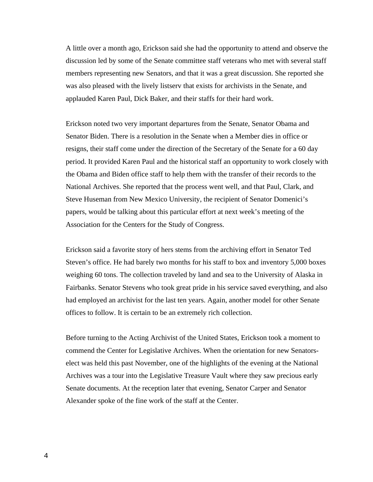A little over a month ago, Erickson said she had the opportunity to attend and observe the discussion led by some of the Senate committee staff veterans who met with several staff members representing new Senators, and that it was a great discussion. She reported she was also pleased with the lively listserv that exists for archivists in the Senate, and applauded Karen Paul, Dick Baker, and their staffs for their hard work.

 Erickson noted two very important departures from the Senate, Senator Obama and Senator Biden. There is a resolution in the Senate when a Member dies in office or resigns, their staff come under the direction of the Secretary of the Senate for a 60 day period. It provided Karen Paul and the historical staff an opportunity to work closely with the Obama and Biden office staff to help them with the transfer of their records to the National Archives. She reported that the process went well, and that Paul, Clark, and Steve Huseman from New Mexico University, the recipient of Senator Domenici's papers, would be talking about this particular effort at next week's meeting of the Association for the Centers for the Study of Congress.

Erickson said a favorite story of hers stems from the archiving effort in Senator Ted Steven's office. He had barely two months for his staff to box and inventory 5,000 boxes weighing 60 tons. The collection traveled by land and sea to the University of Alaska in Fairbanks. Senator Stevens who took great pride in his service saved everything, and also had employed an archivist for the last ten years. Again, another model for other Senate offices to follow. It is certain to be an extremely rich collection.

Before turning to the Acting Archivist of the United States, Erickson took a moment to commend the Center for Legislative Archives. When the orientation for new Senatorselect was held this past November, one of the highlights of the evening at the National Archives was a tour into the Legislative Treasure Vault where they saw precious early Senate documents. At the reception later that evening, Senator Carper and Senator Alexander spoke of the fine work of the staff at the Center.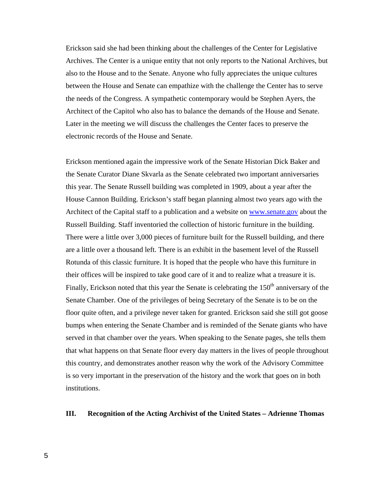Erickson said she had been thinking about the challenges of the Center for Legislative Archives. The Center is a unique entity that not only reports to the National Archives, but also to the House and to the Senate. Anyone who fully appreciates the unique cultures between the House and Senate can empathize with the challenge the Center has to serve the needs of the Congress. A sympathetic contemporary would be Stephen Ayers, the Architect of the Capitol who also has to balance the demands of the House and Senate. Later in the meeting we will discuss the challenges the Center faces to preserve the electronic records of the House and Senate.

Erickson mentioned again the impressive work of the Senate Historian Dick Baker and the Senate Curator Diane Skvarla as the Senate celebrated two important anniversaries this year. The Senate Russell building was completed in 1909, about a year after the House Cannon Building. Erickson's staff began planning almost two years ago with the Architect of the Capital staff to a publication and a website on [www.senate.gov](http://www.senate.gov/) about the Russell Building. Staff inventoried the collection of historic furniture in the building. There were a little over 3,000 pieces of furniture built for the Russell building, and there are a little over a thousand left. There is an exhibit in the basement level of the Russell Rotunda of this classic furniture. It is hoped that the people who have this furniture in their offices will be inspired to take good care of it and to realize what a treasure it is. Finally, Erickson noted that this year the Senate is celebrating the  $150<sup>th</sup>$  anniversary of the Senate Chamber. One of the privileges of being Secretary of the Senate is to be on the floor quite often, and a privilege never taken for granted. Erickson said she still got goose bumps when entering the Senate Chamber and is reminded of the Senate giants who have served in that chamber over the years. When speaking to the Senate pages, she tells them that what happens on that Senate floor every day matters in the lives of people throughout this country, and demonstrates another reason why the work of the Advisory Committee is so very important in the preservation of the history and the work that goes on in both institutions.

### **III. Recognition of the Acting Archivist of the United States – Adrienne Thomas**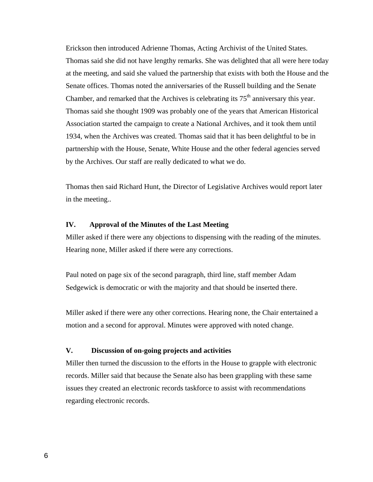Erickson then introduced Adrienne Thomas, Acting Archivist of the United States. Thomas said she did not have lengthy remarks. She was delighted that all were here today at the meeting, and said she valued the partnership that exists with both the House and the Senate offices. Thomas noted the anniversaries of the Russell building and the Senate Chamber, and remarked that the Archives is celebrating its  $75<sup>th</sup>$  anniversary this year. Thomas said she thought 1909 was probably one of the years that American Historical Association started the campaign to create a National Archives, and it took them until 1934, when the Archives was created. Thomas said that it has been delightful to be in partnership with the House, Senate, White House and the other federal agencies served by the Archives. Our staff are really dedicated to what we do.

Thomas then said Richard Hunt, the Director of Legislative Archives would report later in the meeting..

# **IV. Approval of the Minutes of the Last Meeting**

Miller asked if there were any objections to dispensing with the reading of the minutes. Hearing none, Miller asked if there were any corrections.

Paul noted on page six of the second paragraph, third line, staff member Adam Sedgewick is democratic or with the majority and that should be inserted there.

Miller asked if there were any other corrections. Hearing none, the Chair entertained a motion and a second for approval. Minutes were approved with noted change.

## **V. Discussion of on-going projects and activities**

Miller then turned the discussion to the efforts in the House to grapple with electronic records. Miller said that because the Senate also has been grappling with these same issues they created an electronic records taskforce to assist with recommendations regarding electronic records.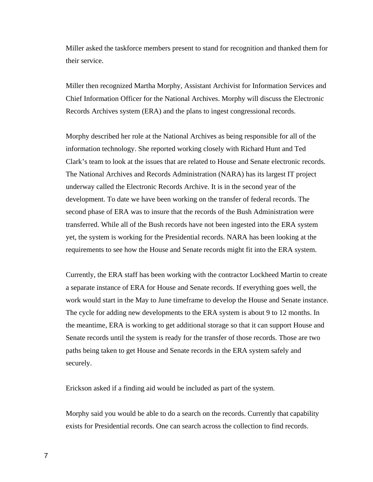Miller asked the taskforce members present to stand for recognition and thanked them for their service.

Miller then recognized Martha Morphy, Assistant Archivist for Information Services and Chief Information Officer for the National Archives. Morphy will discuss the Electronic Records Archives system (ERA) and the plans to ingest congressional records.

Morphy described her role at the National Archives as being responsible for all of the information technology. She reported working closely with Richard Hunt and Ted Clark's team to look at the issues that are related to House and Senate electronic records. The National Archives and Records Administration (NARA) has its largest IT project underway called the Electronic Records Archive. It is in the second year of the development. To date we have been working on the transfer of federal records. The second phase of ERA was to insure that the records of the Bush Administration were transferred. While all of the Bush records have not been ingested into the ERA system yet, the system is working for the Presidential records. NARA has been looking at the requirements to see how the House and Senate records might fit into the ERA system.

Currently, the ERA staff has been working with the contractor Lockheed Martin to create a separate instance of ERA for House and Senate records. If everything goes well, the work would start in the May to June timeframe to develop the House and Senate instance. The cycle for adding new developments to the ERA system is about 9 to 12 months. In the meantime, ERA is working to get additional storage so that it can support House and Senate records until the system is ready for the transfer of those records. Those are two paths being taken to get House and Senate records in the ERA system safely and securely.

Erickson asked if a finding aid would be included as part of the system.

Morphy said you would be able to do a search on the records. Currently that capability exists for Presidential records. One can search across the collection to find records.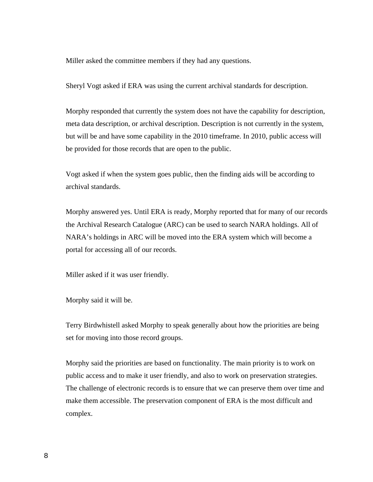Miller asked the committee members if they had any questions.

Sheryl Vogt asked if ERA was using the current archival standards for description.

Morphy responded that currently the system does not have the capability for description, meta data description, or archival description. Description is not currently in the system, but will be and have some capability in the 2010 timeframe. In 2010, public access will be provided for those records that are open to the public.

Vogt asked if when the system goes public, then the finding aids will be according to archival standards.

Morphy answered yes. Until ERA is ready, Morphy reported that for many of our records the Archival Research Catalogue (ARC) can be used to search NARA holdings. All of NARA's holdings in ARC will be moved into the ERA system which will become a portal for accessing all of our records.

Miller asked if it was user friendly.

Morphy said it will be.

Terry Birdwhistell asked Morphy to speak generally about how the priorities are being set for moving into those record groups.

 Morphy said the priorities are based on functionality. The main priority is to work on public access and to make it user friendly, and also to work on preservation strategies. The challenge of electronic records is to ensure that we can preserve them over time and make them accessible. The preservation component of ERA is the most difficult and complex.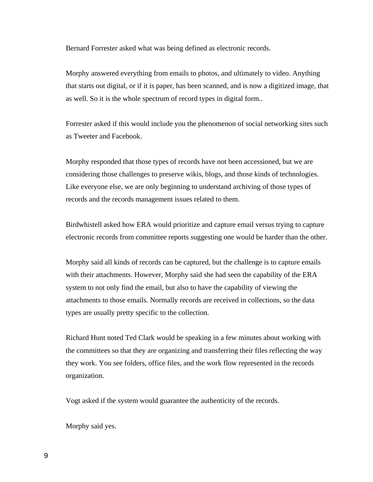Bernard Forrester asked what was being defined as electronic records.

Morphy answered everything from emails to photos, and ultimately to video. Anything that starts out digital, or if it is paper, has been scanned, and is now a digitized image, that as well. So it is the whole spectrum of record types in digital form..

Forrester asked if this would include you the phenomenon of social networking sites such as Tweeter and Facebook.

Morphy responded that those types of records have not been accessioned, but we are considering those challenges to preserve wikis, blogs, and those kinds of technologies. Like everyone else, we are only beginning to understand archiving of those types of records and the records management issues related to them.

Birdwhistell asked how ERA would prioritize and capture email versus trying to capture electronic records from committee reports suggesting one would be harder than the other.

Morphy said all kinds of records can be captured, but the challenge is to capture emails with their attachments. However, Morphy said she had seen the capability of the ERA system to not only find the email, but also to have the capability of viewing the attachments to those emails. Normally records are received in collections, so the data types are usually pretty specific to the collection.

Richard Hunt noted Ted Clark would be speaking in a few minutes about working with the committees so that they are organizing and transferring their files reflecting the way they work. You see folders, office files, and the work flow represented in the records organization.

Vogt asked if the system would guarantee the authenticity of the records.

Morphy said yes.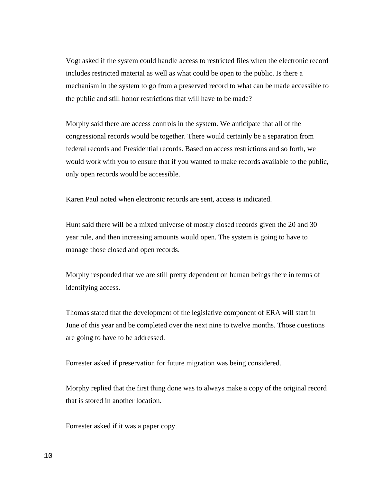Vogt asked if the system could handle access to restricted files when the electronic record includes restricted material as well as what could be open to the public. Is there a mechanism in the system to go from a preserved record to what can be made accessible to the public and still honor restrictions that will have to be made?

Morphy said there are access controls in the system. We anticipate that all of the congressional records would be together. There would certainly be a separation from federal records and Presidential records. Based on access restrictions and so forth, we would work with you to ensure that if you wanted to make records available to the public, only open records would be accessible.

Karen Paul noted when electronic records are sent, access is indicated.

Hunt said there will be a mixed universe of mostly closed records given the 20 and 30 year rule, and then increasing amounts would open. The system is going to have to manage those closed and open records.

Morphy responded that we are still pretty dependent on human beings there in terms of identifying access.

Thomas stated that the development of the legislative component of ERA will start in June of this year and be completed over the next nine to twelve months. Those questions are going to have to be addressed.

Forrester asked if preservation for future migration was being considered.

Morphy replied that the first thing done was to always make a copy of the original record that is stored in another location.

Forrester asked if it was a paper copy.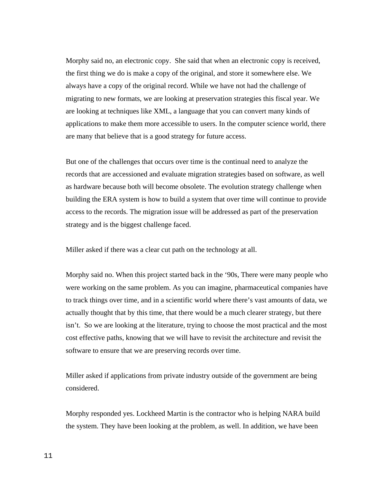Morphy said no, an electronic copy. She said that when an electronic copy is received, the first thing we do is make a copy of the original, and store it somewhere else. We always have a copy of the original record. While we have not had the challenge of migrating to new formats, we are looking at preservation strategies this fiscal year. We are looking at techniques like XML, a language that you can convert many kinds of applications to make them more accessible to users. In the computer science world, there are many that believe that is a good strategy for future access.

But one of the challenges that occurs over time is the continual need to analyze the records that are accessioned and evaluate migration strategies based on software, as well as hardware because both will become obsolete. The evolution strategy challenge when building the ERA system is how to build a system that over time will continue to provide access to the records. The migration issue will be addressed as part of the preservation strategy and is the biggest challenge faced.

Miller asked if there was a clear cut path on the technology at all.

Morphy said no. When this project started back in the '90s, There were many people who were working on the same problem. As you can imagine, pharmaceutical companies have to track things over time, and in a scientific world where there's vast amounts of data, we actually thought that by this time, that there would be a much clearer strategy, but there isn't. So we are looking at the literature, trying to choose the most practical and the most cost effective paths, knowing that we will have to revisit the architecture and revisit the software to ensure that we are preserving records over time.

Miller asked if applications from private industry outside of the government are being considered.

Morphy responded yes. Lockheed Martin is the contractor who is helping NARA build the system. They have been looking at the problem, as well. In addition, we have been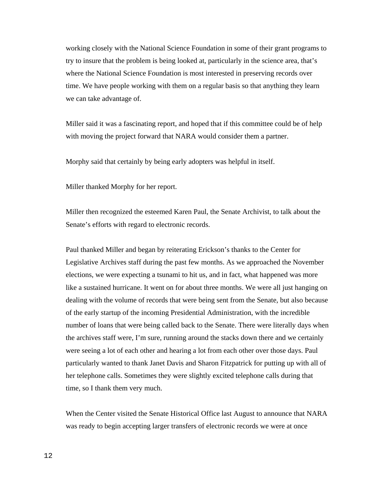working closely with the National Science Foundation in some of their grant programs to try to insure that the problem is being looked at, particularly in the science area, that's where the National Science Foundation is most interested in preserving records over time. We have people working with them on a regular basis so that anything they learn we can take advantage of.

Miller said it was a fascinating report, and hoped that if this committee could be of help with moving the project forward that NARA would consider them a partner.

Morphy said that certainly by being early adopters was helpful in itself.

Miller thanked Morphy for her report.

Miller then recognized the esteemed Karen Paul, the Senate Archivist, to talk about the Senate's efforts with regard to electronic records.

Paul thanked Miller and began by reiterating Erickson's thanks to the Center for Legislative Archives staff during the past few months. As we approached the November elections, we were expecting a tsunami to hit us, and in fact, what happened was more like a sustained hurricane. It went on for about three months. We were all just hanging on dealing with the volume of records that were being sent from the Senate, but also because of the early startup of the incoming Presidential Administration, with the incredible number of loans that were being called back to the Senate. There were literally days when the archives staff were, I'm sure, running around the stacks down there and we certainly were seeing a lot of each other and hearing a lot from each other over those days. Paul particularly wanted to thank Janet Davis and Sharon Fitzpatrick for putting up with all of her telephone calls. Sometimes they were slightly excited telephone calls during that time, so I thank them very much.

When the Center visited the Senate Historical Office last August to announce that NARA was ready to begin accepting larger transfers of electronic records we were at once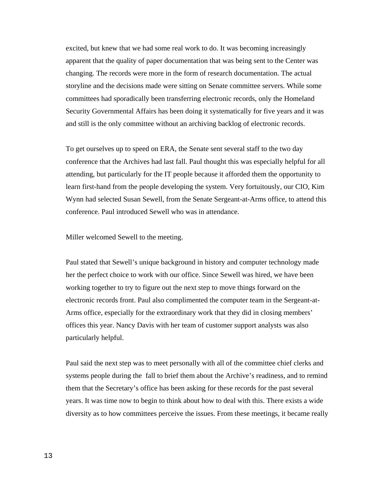excited, but knew that we had some real work to do. It was becoming increasingly apparent that the quality of paper documentation that was being sent to the Center was changing. The records were more in the form of research documentation. The actual storyline and the decisions made were sitting on Senate committee servers. While some committees had sporadically been transferring electronic records, only the Homeland Security Governmental Affairs has been doing it systematically for five years and it was and still is the only committee without an archiving backlog of electronic records.

To get ourselves up to speed on ERA, the Senate sent several staff to the two day conference that the Archives had last fall. Paul thought this was especially helpful for all attending, but particularly for the IT people because it afforded them the opportunity to learn first-hand from the people developing the system. Very fortuitously, our CIO, Kim Wynn had selected Susan Sewell, from the Senate Sergeant-at-Arms office, to attend this conference. Paul introduced Sewell who was in attendance.

Miller welcomed Sewell to the meeting.

Paul stated that Sewell's unique background in history and computer technology made her the perfect choice to work with our office. Since Sewell was hired, we have been working together to try to figure out the next step to move things forward on the electronic records front. Paul also complimented the computer team in the Sergeant-at-Arms office, especially for the extraordinary work that they did in closing members' offices this year. Nancy Davis with her team of customer support analysts was also particularly helpful.

Paul said the next step was to meet personally with all of the committee chief clerks and systems people during the fall to brief them about the Archive's readiness, and to remind them that the Secretary's office has been asking for these records for the past several years. It was time now to begin to think about how to deal with this. There exists a wide diversity as to how committees perceive the issues. From these meetings, it became really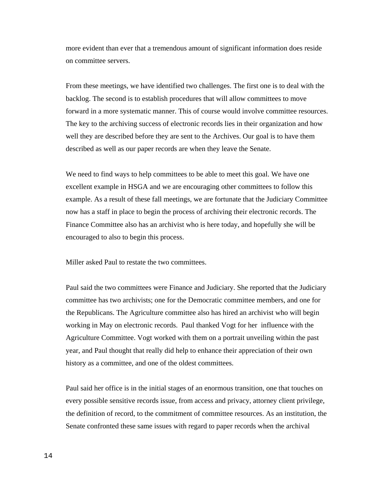more evident than ever that a tremendous amount of significant information does reside on committee servers.

From these meetings, we have identified two challenges. The first one is to deal with the backlog. The second is to establish procedures that will allow committees to move forward in a more systematic manner. This of course would involve committee resources. The key to the archiving success of electronic records lies in their organization and how well they are described before they are sent to the Archives. Our goal is to have them described as well as our paper records are when they leave the Senate.

We need to find ways to help committees to be able to meet this goal. We have one excellent example in HSGA and we are encouraging other committees to follow this example. As a result of these fall meetings, we are fortunate that the Judiciary Committee now has a staff in place to begin the process of archiving their electronic records. The Finance Committee also has an archivist who is here today, and hopefully she will be encouraged to also to begin this process.

Miller asked Paul to restate the two committees.

Paul said the two committees were Finance and Judiciary. She reported that the Judiciary committee has two archivists; one for the Democratic committee members, and one for the Republicans. The Agriculture committee also has hired an archivist who will begin working in May on electronic records. Paul thanked Vogt for her influence with the Agriculture Committee. Vogt worked with them on a portrait unveiling within the past year, and Paul thought that really did help to enhance their appreciation of their own history as a committee, and one of the oldest committees.

Paul said her office is in the initial stages of an enormous transition, one that touches on every possible sensitive records issue, from access and privacy, attorney client privilege, the definition of record, to the commitment of committee resources. As an institution, the Senate confronted these same issues with regard to paper records when the archival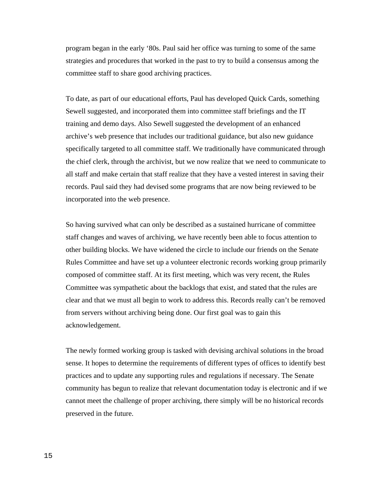program began in the early '80s. Paul said her office was turning to some of the same strategies and procedures that worked in the past to try to build a consensus among the committee staff to share good archiving practices.

To date, as part of our educational efforts, Paul has developed Quick Cards, something Sewell suggested, and incorporated them into committee staff briefings and the IT training and demo days. Also Sewell suggested the development of an enhanced archive's web presence that includes our traditional guidance, but also new guidance specifically targeted to all committee staff. We traditionally have communicated through the chief clerk, through the archivist, but we now realize that we need to communicate to all staff and make certain that staff realize that they have a vested interest in saving their records. Paul said they had devised some programs that are now being reviewed to be incorporated into the web presence.

So having survived what can only be described as a sustained hurricane of committee staff changes and waves of archiving, we have recently been able to focus attention to other building blocks. We have widened the circle to include our friends on the Senate Rules Committee and have set up a volunteer electronic records working group primarily composed of committee staff. At its first meeting, which was very recent, the Rules Committee was sympathetic about the backlogs that exist, and stated that the rules are clear and that we must all begin to work to address this. Records really can't be removed from servers without archiving being done. Our first goal was to gain this acknowledgement.

The newly formed working group is tasked with devising archival solutions in the broad sense. It hopes to determine the requirements of different types of offices to identify best practices and to update any supporting rules and regulations if necessary. The Senate community has begun to realize that relevant documentation today is electronic and if we cannot meet the challenge of proper archiving, there simply will be no historical records preserved in the future.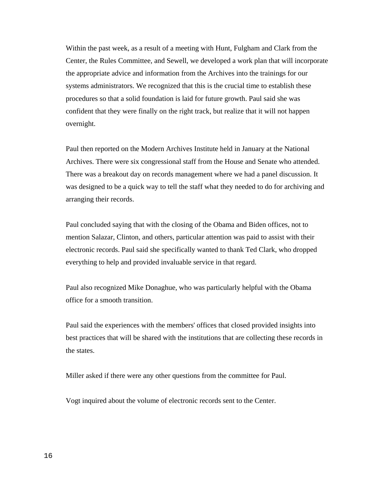Within the past week, as a result of a meeting with Hunt, Fulgham and Clark from the Center, the Rules Committee, and Sewell, we developed a work plan that will incorporate the appropriate advice and information from the Archives into the trainings for our systems administrators. We recognized that this is the crucial time to establish these procedures so that a solid foundation is laid for future growth. Paul said she was confident that they were finally on the right track, but realize that it will not happen overnight.

Paul then reported on the Modern Archives Institute held in January at the National Archives. There were six congressional staff from the House and Senate who attended. There was a breakout day on records management where we had a panel discussion. It was designed to be a quick way to tell the staff what they needed to do for archiving and arranging their records.

Paul concluded saying that with the closing of the Obama and Biden offices, not to mention Salazar, Clinton, and others, particular attention was paid to assist with their electronic records. Paul said she specifically wanted to thank Ted Clark, who dropped everything to help and provided invaluable service in that regard.

Paul also recognized Mike Donaghue, who was particularly helpful with the Obama office for a smooth transition.

Paul said the experiences with the members' offices that closed provided insights into best practices that will be shared with the institutions that are collecting these records in the states.

Miller asked if there were any other questions from the committee for Paul.

Vogt inquired about the volume of electronic records sent to the Center.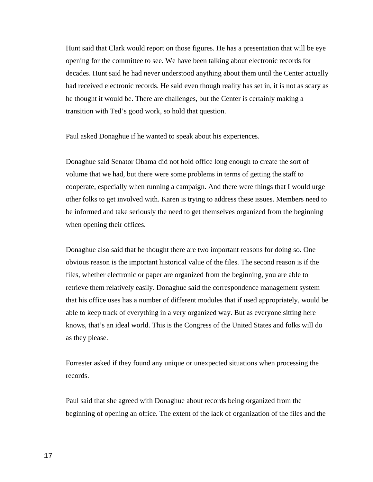Hunt said that Clark would report on those figures. He has a presentation that will be eye opening for the committee to see. We have been talking about electronic records for decades. Hunt said he had never understood anything about them until the Center actually had received electronic records. He said even though reality has set in, it is not as scary as he thought it would be. There are challenges, but the Center is certainly making a transition with Ted's good work, so hold that question.

Paul asked Donaghue if he wanted to speak about his experiences.

Donaghue said Senator Obama did not hold office long enough to create the sort of volume that we had, but there were some problems in terms of getting the staff to cooperate, especially when running a campaign. And there were things that I would urge other folks to get involved with. Karen is trying to address these issues. Members need to be informed and take seriously the need to get themselves organized from the beginning when opening their offices.

Donaghue also said that he thought there are two important reasons for doing so. One obvious reason is the important historical value of the files. The second reason is if the files, whether electronic or paper are organized from the beginning, you are able to retrieve them relatively easily. Donaghue said the correspondence management system that his office uses has a number of different modules that if used appropriately, would be able to keep track of everything in a very organized way. But as everyone sitting here knows, that's an ideal world. This is the Congress of the United States and folks will do as they please.

Forrester asked if they found any unique or unexpected situations when processing the records.

Paul said that she agreed with Donaghue about records being organized from the beginning of opening an office. The extent of the lack of organization of the files and the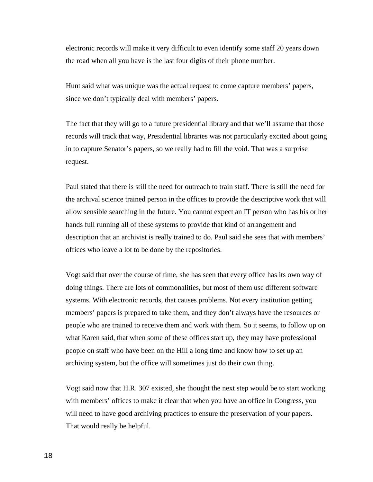electronic records will make it very difficult to even identify some staff 20 years down the road when all you have is the last four digits of their phone number.

Hunt said what was unique was the actual request to come capture members' papers, since we don't typically deal with members' papers.

The fact that they will go to a future presidential library and that we'll assume that those records will track that way, Presidential libraries was not particularly excited about going in to capture Senator's papers, so we really had to fill the void. That was a surprise request.

Paul stated that there is still the need for outreach to train staff. There is still the need for the archival science trained person in the offices to provide the descriptive work that will allow sensible searching in the future. You cannot expect an IT person who has his or her hands full running all of these systems to provide that kind of arrangement and description that an archivist is really trained to do. Paul said she sees that with members' offices who leave a lot to be done by the repositories.

Vogt said that over the course of time, she has seen that every office has its own way of doing things. There are lots of commonalities, but most of them use different software systems. With electronic records, that causes problems. Not every institution getting members' papers is prepared to take them, and they don't always have the resources or people who are trained to receive them and work with them. So it seems, to follow up on what Karen said, that when some of these offices start up, they may have professional people on staff who have been on the Hill a long time and know how to set up an archiving system, but the office will sometimes just do their own thing.

Vogt said now that H.R. 307 existed, she thought the next step would be to start working with members' offices to make it clear that when you have an office in Congress, you will need to have good archiving practices to ensure the preservation of your papers. That would really be helpful.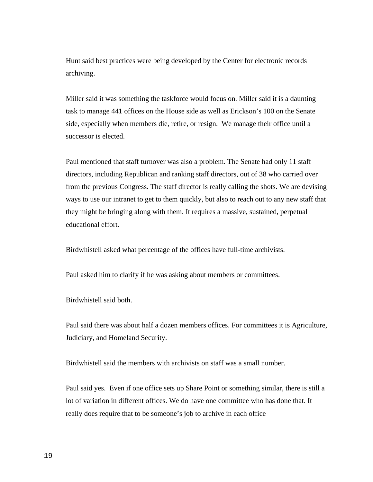Hunt said best practices were being developed by the Center for electronic records archiving.

Miller said it was something the taskforce would focus on. Miller said it is a daunting task to manage 441 offices on the House side as well as Erickson's 100 on the Senate side, especially when members die, retire, or resign. We manage their office until a successor is elected.

Paul mentioned that staff turnover was also a problem. The Senate had only 11 staff directors, including Republican and ranking staff directors, out of 38 who carried over from the previous Congress. The staff director is really calling the shots. We are devising ways to use our intranet to get to them quickly, but also to reach out to any new staff that they might be bringing along with them. It requires a massive, sustained, perpetual educational effort.

Birdwhistell asked what percentage of the offices have full-time archivists.

Paul asked him to clarify if he was asking about members or committees.

Birdwhistell said both.

Paul said there was about half a dozen members offices. For committees it is Agriculture, Judiciary, and Homeland Security.

Birdwhistell said the members with archivists on staff was a small number.

Paul said yes. Even if one office sets up Share Point or something similar, there is still a lot of variation in different offices. We do have one committee who has done that. It really does require that to be someone's job to archive in each office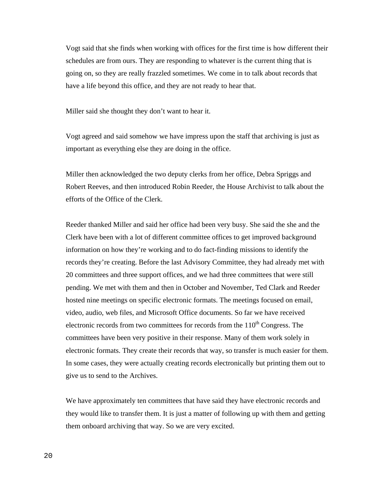Vogt said that she finds when working with offices for the first time is how different their schedules are from ours. They are responding to whatever is the current thing that is going on, so they are really frazzled sometimes. We come in to talk about records that have a life beyond this office, and they are not ready to hear that.

Miller said she thought they don't want to hear it.

Vogt agreed and said somehow we have impress upon the staff that archiving is just as important as everything else they are doing in the office.

Miller then acknowledged the two deputy clerks from her office, Debra Spriggs and Robert Reeves, and then introduced Robin Reeder, the House Archivist to talk about the efforts of the Office of the Clerk.

Reeder thanked Miller and said her office had been very busy. She said the she and the Clerk have been with a lot of different committee offices to get improved background information on how they're working and to do fact-finding missions to identify the records they're creating. Before the last Advisory Committee, they had already met with 20 committees and three support offices, and we had three committees that were still pending. We met with them and then in October and November, Ted Clark and Reeder hosted nine meetings on specific electronic formats. The meetings focused on email, video, audio, web files, and Microsoft Office documents. So far we have received electronic records from two committees for records from the  $110<sup>th</sup>$  Congress. The committees have been very positive in their response. Many of them work solely in electronic formats. They create their records that way, so transfer is much easier for them. In some cases, they were actually creating records electronically but printing them out to give us to send to the Archives.

We have approximately ten committees that have said they have electronic records and they would like to transfer them. It is just a matter of following up with them and getting them onboard archiving that way. So we are very excited.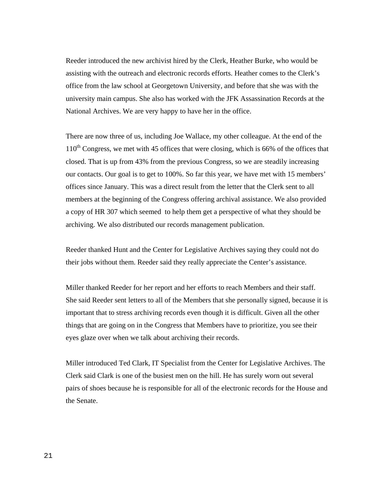Reeder introduced the new archivist hired by the Clerk, Heather Burke, who would be assisting with the outreach and electronic records efforts. Heather comes to the Clerk's office from the law school at Georgetown University, and before that she was with the university main campus. She also has worked with the JFK Assassination Records at the National Archives. We are very happy to have her in the office.

There are now three of us, including Joe Wallace, my other colleague. At the end of the  $110<sup>th</sup>$  Congress, we met with 45 offices that were closing, which is 66% of the offices that closed. That is up from 43% from the previous Congress, so we are steadily increasing our contacts. Our goal is to get to 100%. So far this year, we have met with 15 members' offices since January. This was a direct result from the letter that the Clerk sent to all members at the beginning of the Congress offering archival assistance. We also provided a copy of HR 307 which seemed to help them get a perspective of what they should be archiving. We also distributed our records management publication.

Reeder thanked Hunt and the Center for Legislative Archives saying they could not do their jobs without them. Reeder said they really appreciate the Center's assistance.

Miller thanked Reeder for her report and her efforts to reach Members and their staff. She said Reeder sent letters to all of the Members that she personally signed, because it is important that to stress archiving records even though it is difficult. Given all the other things that are going on in the Congress that Members have to prioritize, you see their eyes glaze over when we talk about archiving their records.

Miller introduced Ted Clark, IT Specialist from the Center for Legislative Archives. The Clerk said Clark is one of the busiest men on the hill. He has surely worn out several pairs of shoes because he is responsible for all of the electronic records for the House and the Senate.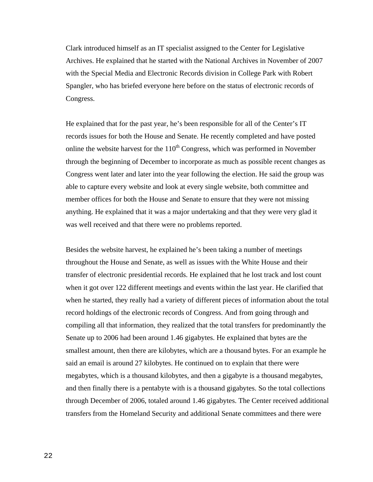Clark introduced himself as an IT specialist assigned to the Center for Legislative Archives. He explained that he started with the National Archives in November of 2007 with the Special Media and Electronic Records division in College Park with Robert Spangler, who has briefed everyone here before on the status of electronic records of Congress.

He explained that for the past year, he's been responsible for all of the Center's IT records issues for both the House and Senate. He recently completed and have posted online the website harvest for the  $110^{th}$  Congress, which was performed in November through the beginning of December to incorporate as much as possible recent changes as Congress went later and later into the year following the election. He said the group was able to capture every website and look at every single website, both committee and member offices for both the House and Senate to ensure that they were not missing anything. He explained that it was a major undertaking and that they were very glad it was well received and that there were no problems reported.

Besides the website harvest, he explained he's been taking a number of meetings throughout the House and Senate, as well as issues with the White House and their transfer of electronic presidential records. He explained that he lost track and lost count when it got over 122 different meetings and events within the last year. He clarified that when he started, they really had a variety of different pieces of information about the total record holdings of the electronic records of Congress. And from going through and compiling all that information, they realized that the total transfers for predominantly the Senate up to 2006 had been around 1.46 gigabytes. He explained that bytes are the smallest amount, then there are kilobytes, which are a thousand bytes. For an example he said an email is around 27 kilobytes. He continued on to explain that there were megabytes, which is a thousand kilobytes, and then a gigabyte is a thousand megabytes, and then finally there is a pentabyte with is a thousand gigabytes. So the total collections through December of 2006, totaled around 1.46 gigabytes. The Center received additional transfers from the Homeland Security and additional Senate committees and there were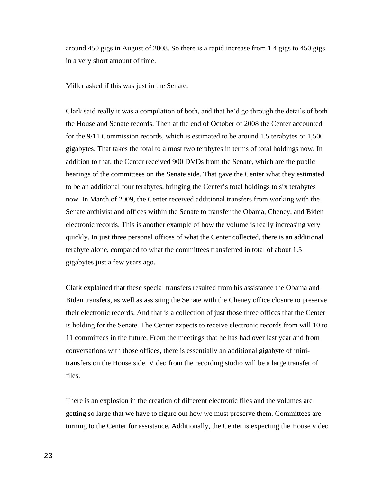around 450 gigs in August of 2008. So there is a rapid increase from 1.4 gigs to 450 gigs in a very short amount of time.

Miller asked if this was just in the Senate.

Clark said really it was a compilation of both, and that he'd go through the details of both the House and Senate records. Then at the end of October of 2008 the Center accounted for the 9/11 Commission records, which is estimated to be around 1.5 terabytes or 1,500 gigabytes. That takes the total to almost two terabytes in terms of total holdings now. In addition to that, the Center received 900 DVDs from the Senate, which are the public hearings of the committees on the Senate side. That gave the Center what they estimated to be an additional four terabytes, bringing the Center's total holdings to six terabytes now. In March of 2009, the Center received additional transfers from working with the Senate archivist and offices within the Senate to transfer the Obama, Cheney, and Biden electronic records. This is another example of how the volume is really increasing very quickly. In just three personal offices of what the Center collected, there is an additional terabyte alone, compared to what the committees transferred in total of about 1.5 gigabytes just a few years ago.

Clark explained that these special transfers resulted from his assistance the Obama and Biden transfers, as well as assisting the Senate with the Cheney office closure to preserve their electronic records. And that is a collection of just those three offices that the Center is holding for the Senate. The Center expects to receive electronic records from will 10 to 11 committees in the future. From the meetings that he has had over last year and from conversations with those offices, there is essentially an additional gigabyte of minitransfers on the House side. Video from the recording studio will be a large transfer of files.

There is an explosion in the creation of different electronic files and the volumes are getting so large that we have to figure out how we must preserve them. Committees are turning to the Center for assistance. Additionally, the Center is expecting the House video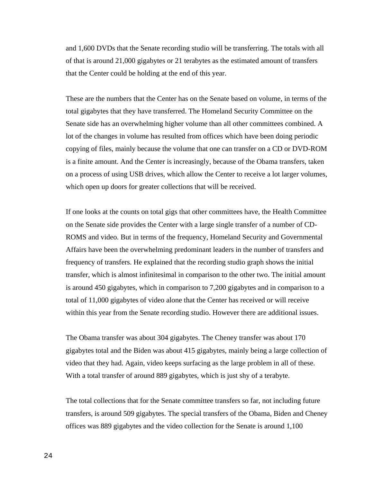and 1,600 DVDs that the Senate recording studio will be transferring. The totals with all of that is around 21,000 gigabytes or 21 terabytes as the estimated amount of transfers that the Center could be holding at the end of this year.

These are the numbers that the Center has on the Senate based on volume, in terms of the total gigabytes that they have transferred. The Homeland Security Committee on the Senate side has an overwhelming higher volume than all other committees combined. A lot of the changes in volume has resulted from offices which have been doing periodic copying of files, mainly because the volume that one can transfer on a CD or DVD-ROM is a finite amount. And the Center is increasingly, because of the Obama transfers, taken on a process of using USB drives, which allow the Center to receive a lot larger volumes, which open up doors for greater collections that will be received.

If one looks at the counts on total gigs that other committees have, the Health Committee on the Senate side provides the Center with a large single transfer of a number of CD-ROMS and video. But in terms of the frequency, Homeland Security and Governmental Affairs have been the overwhelming predominant leaders in the number of transfers and frequency of transfers. He explained that the recording studio graph shows the initial transfer, which is almost infinitesimal in comparison to the other two. The initial amount is around 450 gigabytes, which in comparison to 7,200 gigabytes and in comparison to a total of 11,000 gigabytes of video alone that the Center has received or will receive within this year from the Senate recording studio. However there are additional issues.

The Obama transfer was about 304 gigabytes. The Cheney transfer was about 170 gigabytes total and the Biden was about 415 gigabytes, mainly being a large collection of video that they had. Again, video keeps surfacing as the large problem in all of these. With a total transfer of around 889 gigabytes, which is just shy of a terabyte.

The total collections that for the Senate committee transfers so far, not including future transfers, is around 509 gigabytes. The special transfers of the Obama, Biden and Cheney offices was 889 gigabytes and the video collection for the Senate is around 1,100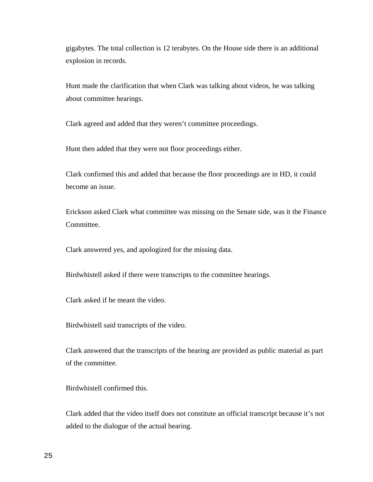gigabytes. The total collection is 12 terabytes. On the House side there is an additional explosion in records.

Hunt made the clarification that when Clark was talking about videos, he was talking about committee hearings.

Clark agreed and added that they weren't committee proceedings.

Hunt then added that they were not floor proceedings either.

Clark confirmed this and added that because the floor proceedings are in HD, it could become an issue.

Erickson asked Clark what committee was missing on the Senate side, was it the Finance Committee.

Clark answered yes, and apologized for the missing data.

Birdwhistell asked if there were transcripts to the committee hearings.

Clark asked if he meant the video.

Birdwhistell said transcripts of the video.

Clark answered that the transcripts of the hearing are provided as public material as part of the committee.

Birdwhistell confirmed this.

Clark added that the video itself does not constitute an official transcript because it's not added to the dialogue of the actual hearing.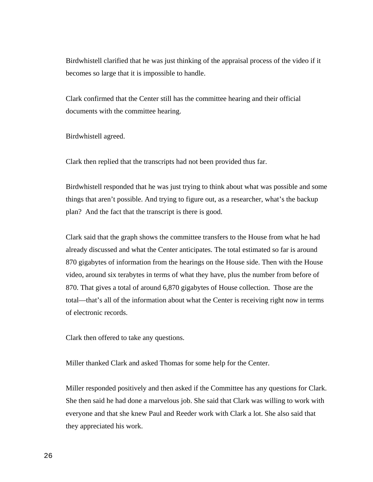Birdwhistell clarified that he was just thinking of the appraisal process of the video if it becomes so large that it is impossible to handle.

Clark confirmed that the Center still has the committee hearing and their official documents with the committee hearing.

Birdwhistell agreed.

Clark then replied that the transcripts had not been provided thus far.

Birdwhistell responded that he was just trying to think about what was possible and some things that aren't possible. And trying to figure out, as a researcher, what's the backup plan? And the fact that the transcript is there is good.

Clark said that the graph shows the committee transfers to the House from what he had already discussed and what the Center anticipates. The total estimated so far is around 870 gigabytes of information from the hearings on the House side. Then with the House video, around six terabytes in terms of what they have, plus the number from before of 870. That gives a total of around 6,870 gigabytes of House collection. Those are the total—that's all of the information about what the Center is receiving right now in terms of electronic records.

Clark then offered to take any questions.

Miller thanked Clark and asked Thomas for some help for the Center.

Miller responded positively and then asked if the Committee has any questions for Clark. She then said he had done a marvelous job. She said that Clark was willing to work with everyone and that she knew Paul and Reeder work with Clark a lot. She also said that they appreciated his work.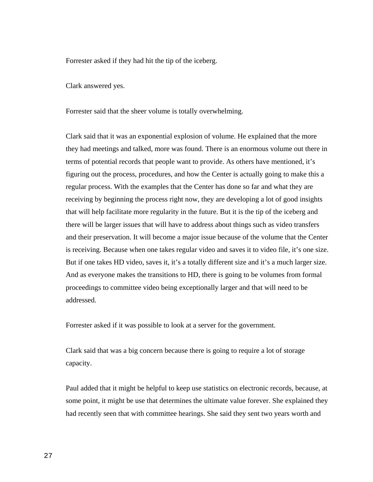Forrester asked if they had hit the tip of the iceberg.

Clark answered yes.

Forrester said that the sheer volume is totally overwhelming.

Clark said that it was an exponential explosion of volume. He explained that the more they had meetings and talked, more was found. There is an enormous volume out there in terms of potential records that people want to provide. As others have mentioned, it's figuring out the process, procedures, and how the Center is actually going to make this a regular process. With the examples that the Center has done so far and what they are receiving by beginning the process right now, they are developing a lot of good insights that will help facilitate more regularity in the future. But it is the tip of the iceberg and there will be larger issues that will have to address about things such as video transfers and their preservation. It will become a major issue because of the volume that the Center is receiving. Because when one takes regular video and saves it to video file, it's one size. But if one takes HD video, saves it, it's a totally different size and it's a much larger size. And as everyone makes the transitions to HD, there is going to be volumes from formal proceedings to committee video being exceptionally larger and that will need to be addressed.

Forrester asked if it was possible to look at a server for the government.

Clark said that was a big concern because there is going to require a lot of storage capacity.

Paul added that it might be helpful to keep use statistics on electronic records, because, at some point, it might be use that determines the ultimate value forever. She explained they had recently seen that with committee hearings. She said they sent two years worth and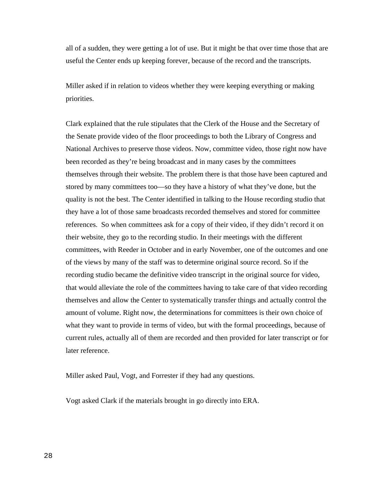all of a sudden, they were getting a lot of use. But it might be that over time those that are useful the Center ends up keeping forever, because of the record and the transcripts.

Miller asked if in relation to videos whether they were keeping everything or making priorities.

Clark explained that the rule stipulates that the Clerk of the House and the Secretary of the Senate provide video of the floor proceedings to both the Library of Congress and National Archives to preserve those videos. Now, committee video, those right now have been recorded as they're being broadcast and in many cases by the committees themselves through their website. The problem there is that those have been captured and stored by many committees too—so they have a history of what they've done, but the quality is not the best. The Center identified in talking to the House recording studio that they have a lot of those same broadcasts recorded themselves and stored for committee references. So when committees ask for a copy of their video, if they didn't record it on their website, they go to the recording studio. In their meetings with the different committees, with Reeder in October and in early November, one of the outcomes and one of the views by many of the staff was to determine original source record. So if the recording studio became the definitive video transcript in the original source for video, that would alleviate the role of the committees having to take care of that video recording themselves and allow the Center to systematically transfer things and actually control the amount of volume. Right now, the determinations for committees is their own choice of what they want to provide in terms of video, but with the formal proceedings, because of current rules, actually all of them are recorded and then provided for later transcript or for later reference.

Miller asked Paul, Vogt, and Forrester if they had any questions.

Vogt asked Clark if the materials brought in go directly into ERA.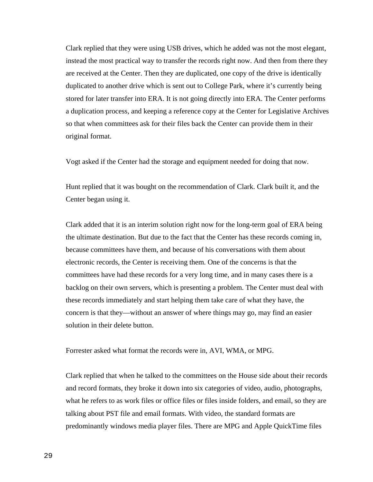Clark replied that they were using USB drives, which he added was not the most elegant, instead the most practical way to transfer the records right now. And then from there they are received at the Center. Then they are duplicated, one copy of the drive is identically duplicated to another drive which is sent out to College Park, where it's currently being stored for later transfer into ERA. It is not going directly into ERA. The Center performs a duplication process, and keeping a reference copy at the Center for Legislative Archives so that when committees ask for their files back the Center can provide them in their original format.

Vogt asked if the Center had the storage and equipment needed for doing that now.

Hunt replied that it was bought on the recommendation of Clark. Clark built it, and the Center began using it.

Clark added that it is an interim solution right now for the long-term goal of ERA being the ultimate destination. But due to the fact that the Center has these records coming in, because committees have them, and because of his conversations with them about electronic records, the Center is receiving them. One of the concerns is that the committees have had these records for a very long time, and in many cases there is a backlog on their own servers, which is presenting a problem. The Center must deal with these records immediately and start helping them take care of what they have, the concern is that they—without an answer of where things may go, may find an easier solution in their delete button.

Forrester asked what format the records were in, AVI, WMA, or MPG.

Clark replied that when he talked to the committees on the House side about their records and record formats, they broke it down into six categories of video, audio, photographs, what he refers to as work files or office files or files inside folders, and email, so they are talking about PST file and email formats. With video, the standard formats are predominantly windows media player files. There are MPG and Apple QuickTime files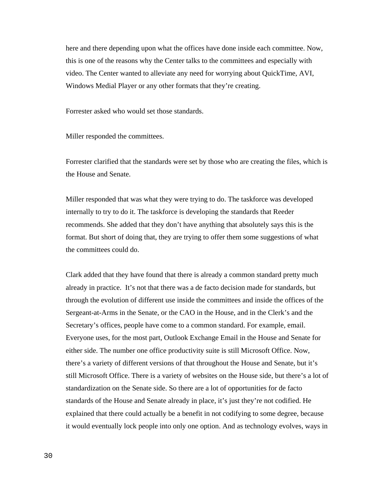here and there depending upon what the offices have done inside each committee. Now, this is one of the reasons why the Center talks to the committees and especially with video. The Center wanted to alleviate any need for worrying about QuickTime, AVI, Windows Medial Player or any other formats that they're creating.

Forrester asked who would set those standards.

Miller responded the committees.

Forrester clarified that the standards were set by those who are creating the files, which is the House and Senate.

Miller responded that was what they were trying to do. The taskforce was developed internally to try to do it. The taskforce is developing the standards that Reeder recommends. She added that they don't have anything that absolutely says this is the format. But short of doing that, they are trying to offer them some suggestions of what the committees could do.

Clark added that they have found that there is already a common standard pretty much already in practice. It's not that there was a de facto decision made for standards, but through the evolution of different use inside the committees and inside the offices of the Sergeant-at-Arms in the Senate, or the CAO in the House, and in the Clerk's and the Secretary's offices, people have come to a common standard. For example, email. Everyone uses, for the most part, Outlook Exchange Email in the House and Senate for either side. The number one office productivity suite is still Microsoft Office. Now, there's a variety of different versions of that throughout the House and Senate, but it's still Microsoft Office. There is a variety of websites on the House side, but there's a lot of standardization on the Senate side. So there are a lot of opportunities for de facto standards of the House and Senate already in place, it's just they're not codified. He explained that there could actually be a benefit in not codifying to some degree, because it would eventually lock people into only one option. And as technology evolves, ways in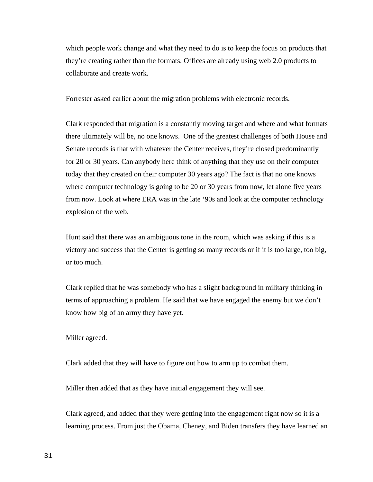which people work change and what they need to do is to keep the focus on products that they're creating rather than the formats. Offices are already using web 2.0 products to collaborate and create work.

Forrester asked earlier about the migration problems with electronic records.

Clark responded that migration is a constantly moving target and where and what formats there ultimately will be, no one knows. One of the greatest challenges of both House and Senate records is that with whatever the Center receives, they're closed predominantly for 20 or 30 years. Can anybody here think of anything that they use on their computer today that they created on their computer 30 years ago? The fact is that no one knows where computer technology is going to be 20 or 30 years from now, let alone five years from now. Look at where ERA was in the late '90s and look at the computer technology explosion of the web.

Hunt said that there was an ambiguous tone in the room, which was asking if this is a victory and success that the Center is getting so many records or if it is too large, too big, or too much.

Clark replied that he was somebody who has a slight background in military thinking in terms of approaching a problem. He said that we have engaged the enemy but we don't know how big of an army they have yet.

Miller agreed.

Clark added that they will have to figure out how to arm up to combat them.

Miller then added that as they have initial engagement they will see.

Clark agreed, and added that they were getting into the engagement right now so it is a learning process. From just the Obama, Cheney, and Biden transfers they have learned an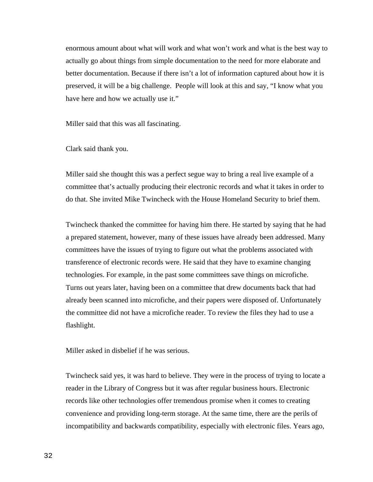enormous amount about what will work and what won't work and what is the best way to actually go about things from simple documentation to the need for more elaborate and better documentation. Because if there isn't a lot of information captured about how it is preserved, it will be a big challenge. People will look at this and say, "I know what you have here and how we actually use it."

Miller said that this was all fascinating.

Clark said thank you.

Miller said she thought this was a perfect segue way to bring a real live example of a committee that's actually producing their electronic records and what it takes in order to do that. She invited Mike Twincheck with the House Homeland Security to brief them.

Twincheck thanked the committee for having him there. He started by saying that he had a prepared statement, however, many of these issues have already been addressed. Many committees have the issues of trying to figure out what the problems associated with transference of electronic records were. He said that they have to examine changing technologies. For example, in the past some committees save things on microfiche. Turns out years later, having been on a committee that drew documents back that had already been scanned into microfiche, and their papers were disposed of. Unfortunately the committee did not have a microfiche reader. To review the files they had to use a flashlight.

Miller asked in disbelief if he was serious.

Twincheck said yes, it was hard to believe. They were in the process of trying to locate a reader in the Library of Congress but it was after regular business hours. Electronic records like other technologies offer tremendous promise when it comes to creating convenience and providing long-term storage. At the same time, there are the perils of incompatibility and backwards compatibility, especially with electronic files. Years ago,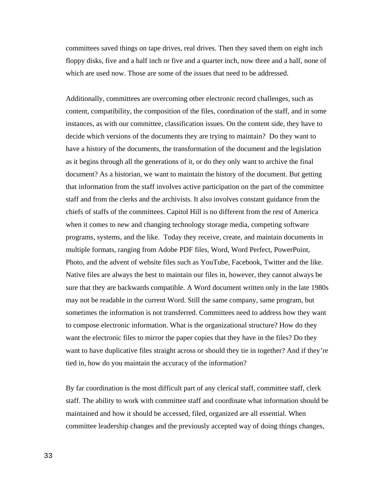committees saved things on tape drives, real drives. Then they saved them on eight inch floppy disks, five and a half inch or five and a quarter inch, now three and a half, none of which are used now. Those are some of the issues that need to be addressed.

Additionally, committees are overcoming other electronic record challenges, such as content, compatibility, the composition of the files, coordination of the staff, and in some instances, as with our committee, classification issues. On the content side, they have to decide which versions of the documents they are trying to maintain? Do they want to have a history of the documents, the transformation of the document and the legislation as it begins through all the generations of it, or do they only want to archive the final document? As a historian, we want to maintain the history of the document. But getting that information from the staff involves active participation on the part of the committee staff and from the clerks and the archivists. It also involves constant guidance from the chiefs of staffs of the committees. Capitol Hill is no different from the rest of America when it comes to new and changing technology storage media, competing software programs, systems, and the like. Today they receive, create, and maintain documents in multiple formats, ranging from Adobe PDF files, Word, Word Perfect, PowerPoint, Photo, and the advent of website files such as YouTube, Facebook, Twitter and the like. Native files are always the best to maintain our files in, however, they cannot always be sure that they are backwards compatible. A Word document written only in the late 1980s may not be readable in the current Word. Still the same company, same program, but sometimes the information is not transferred. Committees need to address how they want to compose electronic information. What is the organizational structure? How do they want the electronic files to mirror the paper copies that they have in the files? Do they want to have duplicative files straight across or should they tie in together? And if they're tied in, how do you maintain the accuracy of the information?

By far coordination is the most difficult part of any clerical staff, committee staff, clerk staff. The ability to work with committee staff and coordinate what information should be maintained and how it should be accessed, filed, organized are all essential. When committee leadership changes and the previously accepted way of doing things changes,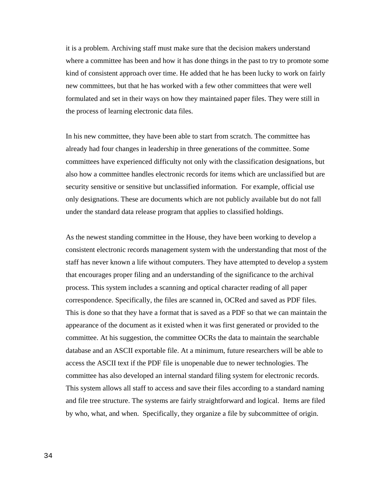it is a problem. Archiving staff must make sure that the decision makers understand where a committee has been and how it has done things in the past to try to promote some kind of consistent approach over time. He added that he has been lucky to work on fairly new committees, but that he has worked with a few other committees that were well formulated and set in their ways on how they maintained paper files. They were still in the process of learning electronic data files.

In his new committee, they have been able to start from scratch. The committee has already had four changes in leadership in three generations of the committee. Some committees have experienced difficulty not only with the classification designations, but also how a committee handles electronic records for items which are unclassified but are security sensitive or sensitive but unclassified information. For example, official use only designations. These are documents which are not publicly available but do not fall under the standard data release program that applies to classified holdings.

As the newest standing committee in the House, they have been working to develop a consistent electronic records management system with the understanding that most of the staff has never known a life without computers. They have attempted to develop a system that encourages proper filing and an understanding of the significance to the archival process. This system includes a scanning and optical character reading of all paper correspondence. Specifically, the files are scanned in, OCRed and saved as PDF files. This is done so that they have a format that is saved as a PDF so that we can maintain the appearance of the document as it existed when it was first generated or provided to the committee. At his suggestion, the committee OCRs the data to maintain the searchable database and an ASCII exportable file. At a minimum, future researchers will be able to access the ASCII text if the PDF file is unopenable due to newer technologies. The committee has also developed an internal standard filing system for electronic records. This system allows all staff to access and save their files according to a standard naming and file tree structure. The systems are fairly straightforward and logical. Items are filed by who, what, and when. Specifically, they organize a file by subcommittee of origin.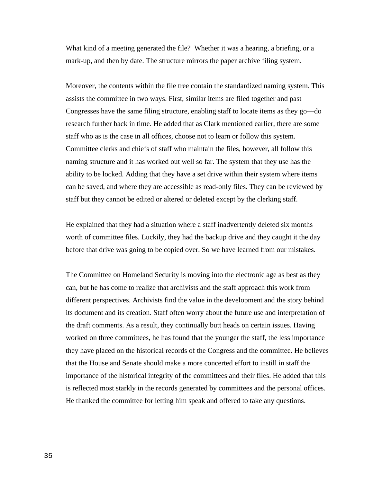What kind of a meeting generated the file? Whether it was a hearing, a briefing, or a mark-up, and then by date. The structure mirrors the paper archive filing system.

Moreover, the contents within the file tree contain the standardized naming system. This assists the committee in two ways. First, similar items are filed together and past Congresses have the same filing structure, enabling staff to locate items as they go—do research further back in time. He added that as Clark mentioned earlier, there are some staff who as is the case in all offices, choose not to learn or follow this system. Committee clerks and chiefs of staff who maintain the files, however, all follow this naming structure and it has worked out well so far. The system that they use has the ability to be locked. Adding that they have a set drive within their system where items can be saved, and where they are accessible as read-only files. They can be reviewed by staff but they cannot be edited or altered or deleted except by the clerking staff.

He explained that they had a situation where a staff inadvertently deleted six months worth of committee files. Luckily, they had the backup drive and they caught it the day before that drive was going to be copied over. So we have learned from our mistakes.

The Committee on Homeland Security is moving into the electronic age as best as they can, but he has come to realize that archivists and the staff approach this work from different perspectives. Archivists find the value in the development and the story behind its document and its creation. Staff often worry about the future use and interpretation of the draft comments. As a result, they continually butt heads on certain issues. Having worked on three committees, he has found that the younger the staff, the less importance they have placed on the historical records of the Congress and the committee. He believes that the House and Senate should make a more concerted effort to instill in staff the importance of the historical integrity of the committees and their files. He added that this is reflected most starkly in the records generated by committees and the personal offices. He thanked the committee for letting him speak and offered to take any questions.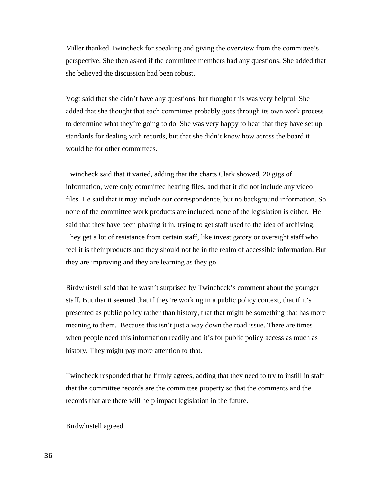Miller thanked Twincheck for speaking and giving the overview from the committee's perspective. She then asked if the committee members had any questions. She added that she believed the discussion had been robust.

Vogt said that she didn't have any questions, but thought this was very helpful. She added that she thought that each committee probably goes through its own work process to determine what they're going to do. She was very happy to hear that they have set up standards for dealing with records, but that she didn't know how across the board it would be for other committees.

Twincheck said that it varied, adding that the charts Clark showed, 20 gigs of information, were only committee hearing files, and that it did not include any video files. He said that it may include our correspondence, but no background information. So none of the committee work products are included, none of the legislation is either. He said that they have been phasing it in, trying to get staff used to the idea of archiving. They get a lot of resistance from certain staff, like investigatory or oversight staff who feel it is their products and they should not be in the realm of accessible information. But they are improving and they are learning as they go.

Birdwhistell said that he wasn't surprised by Twincheck's comment about the younger staff. But that it seemed that if they're working in a public policy context, that if it's presented as public policy rather than history, that that might be something that has more meaning to them. Because this isn't just a way down the road issue. There are times when people need this information readily and it's for public policy access as much as history. They might pay more attention to that.

Twincheck responded that he firmly agrees, adding that they need to try to instill in staff that the committee records are the committee property so that the comments and the records that are there will help impact legislation in the future.

Birdwhistell agreed.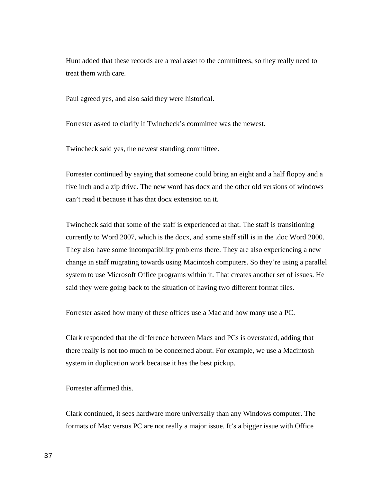Hunt added that these records are a real asset to the committees, so they really need to treat them with care.

Paul agreed yes, and also said they were historical.

Forrester asked to clarify if Twincheck's committee was the newest.

Twincheck said yes, the newest standing committee.

Forrester continued by saying that someone could bring an eight and a half floppy and a five inch and a zip drive. The new word has docx and the other old versions of windows can't read it because it has that docx extension on it.

Twincheck said that some of the staff is experienced at that. The staff is transitioning currently to Word 2007, which is the docx, and some staff still is in the .doc Word 2000. They also have some incompatibility problems there. They are also experiencing a new change in staff migrating towards using Macintosh computers. So they're using a parallel system to use Microsoft Office programs within it. That creates another set of issues. He said they were going back to the situation of having two different format files.

Forrester asked how many of these offices use a Mac and how many use a PC.

Clark responded that the difference between Macs and PCs is overstated, adding that there really is not too much to be concerned about. For example, we use a Macintosh system in duplication work because it has the best pickup.

## Forrester affirmed this.

Clark continued, it sees hardware more universally than any Windows computer. The formats of Mac versus PC are not really a major issue. It's a bigger issue with Office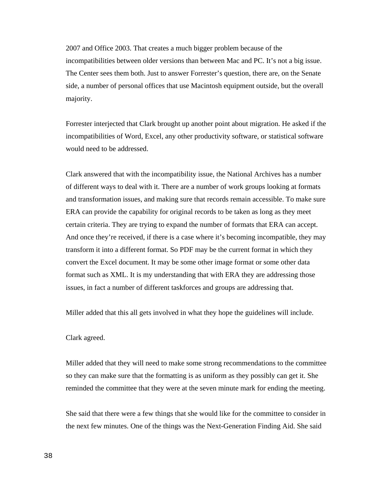2007 and Office 2003. That creates a much bigger problem because of the incompatibilities between older versions than between Mac and PC. It's not a big issue. The Center sees them both. Just to answer Forrester's question, there are, on the Senate side, a number of personal offices that use Macintosh equipment outside, but the overall majority.

Forrester interjected that Clark brought up another point about migration. He asked if the incompatibilities of Word, Excel, any other productivity software, or statistical software would need to be addressed.

Clark answered that with the incompatibility issue, the National Archives has a number of different ways to deal with it. There are a number of work groups looking at formats and transformation issues, and making sure that records remain accessible. To make sure ERA can provide the capability for original records to be taken as long as they meet certain criteria. They are trying to expand the number of formats that ERA can accept. And once they're received, if there is a case where it's becoming incompatible, they may transform it into a different format. So PDF may be the current format in which they convert the Excel document. It may be some other image format or some other data format such as XML. It is my understanding that with ERA they are addressing those issues, in fact a number of different taskforces and groups are addressing that.

Miller added that this all gets involved in what they hope the guidelines will include.

### Clark agreed.

Miller added that they will need to make some strong recommendations to the committee so they can make sure that the formatting is as uniform as they possibly can get it. She reminded the committee that they were at the seven minute mark for ending the meeting.

She said that there were a few things that she would like for the committee to consider in the next few minutes. One of the things was the Next-Generation Finding Aid. She said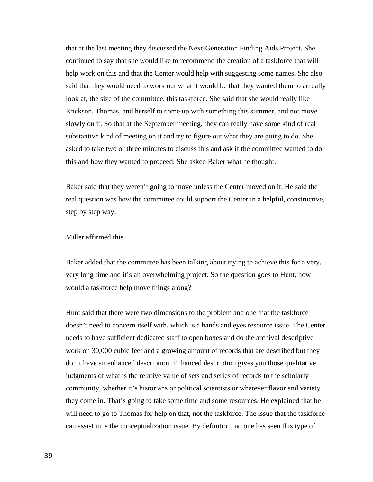that at the last meeting they discussed the Next-Generation Finding Aids Project. She continued to say that she would like to recommend the creation of a taskforce that will help work on this and that the Center would help with suggesting some names. She also said that they would need to work out what it would be that they wanted them to actually look at, the size of the committee, this taskforce. She said that she would really like Erickson, Thomas, and herself to come up with something this summer, and not move slowly on it. So that at the September meeting, they can really have some kind of real substantive kind of meeting on it and try to figure out what they are going to do. She asked to take two or three minutes to discuss this and ask if the committee wanted to do this and how they wanted to proceed. She asked Baker what he thought.

Baker said that they weren't going to move unless the Center moved on it. He said the real question was how the committee could support the Center in a helpful, constructive, step by step way.

Miller affirmed this.

Baker added that the committee has been talking about trying to achieve this for a very, very long time and it's an overwhelming project. So the question goes to Hunt, how would a taskforce help move things along?

Hunt said that there were two dimensions to the problem and one that the taskforce doesn't need to concern itself with, which is a hands and eyes resource issue. The Center needs to have sufficient dedicated staff to open boxes and do the archival descriptive work on 30,000 cubic feet and a growing amount of records that are described but they don't have an enhanced description. Enhanced description gives you those qualitative judgments of what is the relative value of sets and series of records to the scholarly community, whether it's historians or political scientists or whatever flavor and variety they come in. That's going to take some time and some resources. He explained that he will need to go to Thomas for help on that, not the taskforce. The issue that the taskforce can assist in is the conceptualization issue. By definition, no one has seen this type of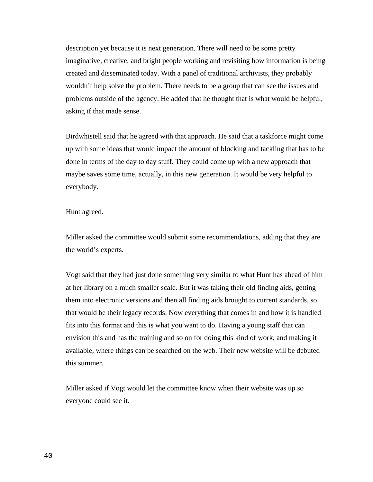description yet because it is next generation. There will need to be some pretty imaginative, creative, and bright people working and revisiting how information is being created and disseminated today. With a panel of traditional archivists, they probably wouldn't help solve the problem. There needs to be a group that can see the issues and problems outside of the agency. He added that he thought that is what would be helpful, asking if that made sense.

Birdwhistell said that he agreed with that approach. He said that a taskforce might come up with some ideas that would impact the amount of blocking and tackling that has to be done in terms of the day to day stuff. They could come up with a new approach that maybe saves some time, actually, in this new generation. It would be very helpful to everybody.

#### Hunt agreed.

Miller asked the committee would submit some recommendations, adding that they are the world's experts.

Vogt said that they had just done something very similar to what Hunt has ahead of him at her library on a much smaller scale. But it was taking their old finding aids, getting them into electronic versions and then all finding aids brought to current standards, so that would be their legacy records. Now everything that comes in and how it is handled fits into this format and this is what you want to do. Having a young staff that can envision this and has the training and so on for doing this kind of work, and making it available, where things can be searched on the web. Their new website will be debuted this summer.

Miller asked if Vogt would let the committee know when their website was up so everyone could see it.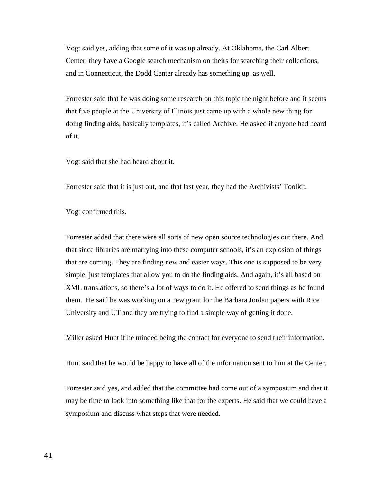Vogt said yes, adding that some of it was up already. At Oklahoma, the Carl Albert Center, they have a Google search mechanism on theirs for searching their collections, and in Connecticut, the Dodd Center already has something up, as well.

Forrester said that he was doing some research on this topic the night before and it seems that five people at the University of Illinois just came up with a whole new thing for doing finding aids, basically templates, it's called Archive. He asked if anyone had heard of it.

Vogt said that she had heard about it.

Forrester said that it is just out, and that last year, they had the Archivists' Toolkit.

Vogt confirmed this.

Forrester added that there were all sorts of new open source technologies out there. And that since libraries are marrying into these computer schools, it's an explosion of things that are coming. They are finding new and easier ways. This one is supposed to be very simple, just templates that allow you to do the finding aids. And again, it's all based on XML translations, so there's a lot of ways to do it. He offered to send things as he found them. He said he was working on a new grant for the Barbara Jordan papers with Rice University and UT and they are trying to find a simple way of getting it done.

Miller asked Hunt if he minded being the contact for everyone to send their information.

Hunt said that he would be happy to have all of the information sent to him at the Center.

Forrester said yes, and added that the committee had come out of a symposium and that it may be time to look into something like that for the experts. He said that we could have a symposium and discuss what steps that were needed.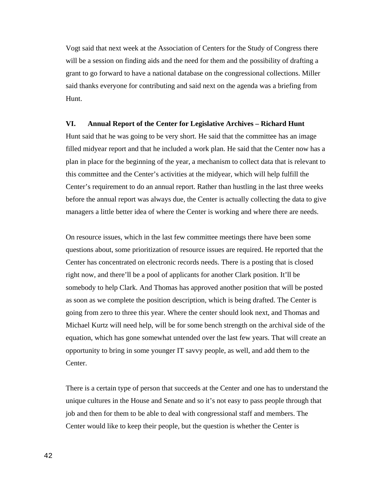Vogt said that next week at the Association of Centers for the Study of Congress there will be a session on finding aids and the need for them and the possibility of drafting a grant to go forward to have a national database on the congressional collections. Miller said thanks everyone for contributing and said next on the agenda was a briefing from Hunt.

#### **VI. Annual Report of the Center for Legislative Archives – Richard Hunt**

Hunt said that he was going to be very short. He said that the committee has an image filled midyear report and that he included a work plan. He said that the Center now has a plan in place for the beginning of the year, a mechanism to collect data that is relevant to this committee and the Center's activities at the midyear, which will help fulfill the Center's requirement to do an annual report. Rather than hustling in the last three weeks before the annual report was always due, the Center is actually collecting the data to give managers a little better idea of where the Center is working and where there are needs.

On resource issues, which in the last few committee meetings there have been some questions about, some prioritization of resource issues are required. He reported that the Center has concentrated on electronic records needs. There is a posting that is closed right now, and there'll be a pool of applicants for another Clark position. It'll be somebody to help Clark. And Thomas has approved another position that will be posted as soon as we complete the position description, which is being drafted. The Center is going from zero to three this year. Where the center should look next, and Thomas and Michael Kurtz will need help, will be for some bench strength on the archival side of the equation, which has gone somewhat untended over the last few years. That will create an opportunity to bring in some younger IT savvy people, as well, and add them to the Center.

There is a certain type of person that succeeds at the Center and one has to understand the unique cultures in the House and Senate and so it's not easy to pass people through that job and then for them to be able to deal with congressional staff and members. The Center would like to keep their people, but the question is whether the Center is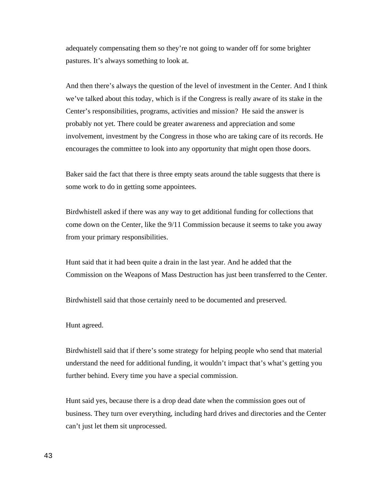adequately compensating them so they're not going to wander off for some brighter pastures. It's always something to look at.

And then there's always the question of the level of investment in the Center. And I think we've talked about this today, which is if the Congress is really aware of its stake in the Center's responsibilities, programs, activities and mission? He said the answer is probably not yet. There could be greater awareness and appreciation and some involvement, investment by the Congress in those who are taking care of its records. He encourages the committee to look into any opportunity that might open those doors.

Baker said the fact that there is three empty seats around the table suggests that there is some work to do in getting some appointees.

Birdwhistell asked if there was any way to get additional funding for collections that come down on the Center, like the 9/11 Commission because it seems to take you away from your primary responsibilities.

Hunt said that it had been quite a drain in the last year. And he added that the Commission on the Weapons of Mass Destruction has just been transferred to the Center.

Birdwhistell said that those certainly need to be documented and preserved.

Hunt agreed.

Birdwhistell said that if there's some strategy for helping people who send that material understand the need for additional funding, it wouldn't impact that's what's getting you further behind. Every time you have a special commission.

Hunt said yes, because there is a drop dead date when the commission goes out of business. They turn over everything, including hard drives and directories and the Center can't just let them sit unprocessed.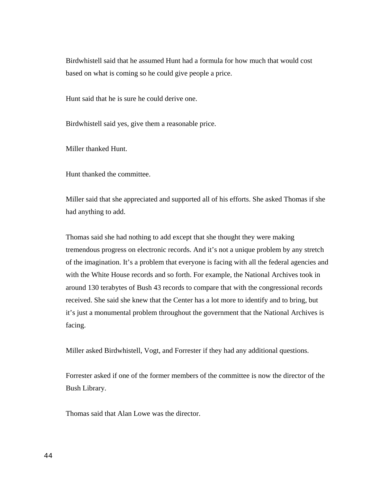Birdwhistell said that he assumed Hunt had a formula for how much that would cost based on what is coming so he could give people a price.

Hunt said that he is sure he could derive one.

Birdwhistell said yes, give them a reasonable price.

Miller thanked Hunt.

Hunt thanked the committee.

Miller said that she appreciated and supported all of his efforts. She asked Thomas if she had anything to add.

Thomas said she had nothing to add except that she thought they were making tremendous progress on electronic records. And it's not a unique problem by any stretch of the imagination. It's a problem that everyone is facing with all the federal agencies and with the White House records and so forth. For example, the National Archives took in around 130 terabytes of Bush 43 records to compare that with the congressional records received. She said she knew that the Center has a lot more to identify and to bring, but it's just a monumental problem throughout the government that the National Archives is facing.

Miller asked Birdwhistell, Vogt, and Forrester if they had any additional questions.

Forrester asked if one of the former members of the committee is now the director of the Bush Library.

Thomas said that Alan Lowe was the director.